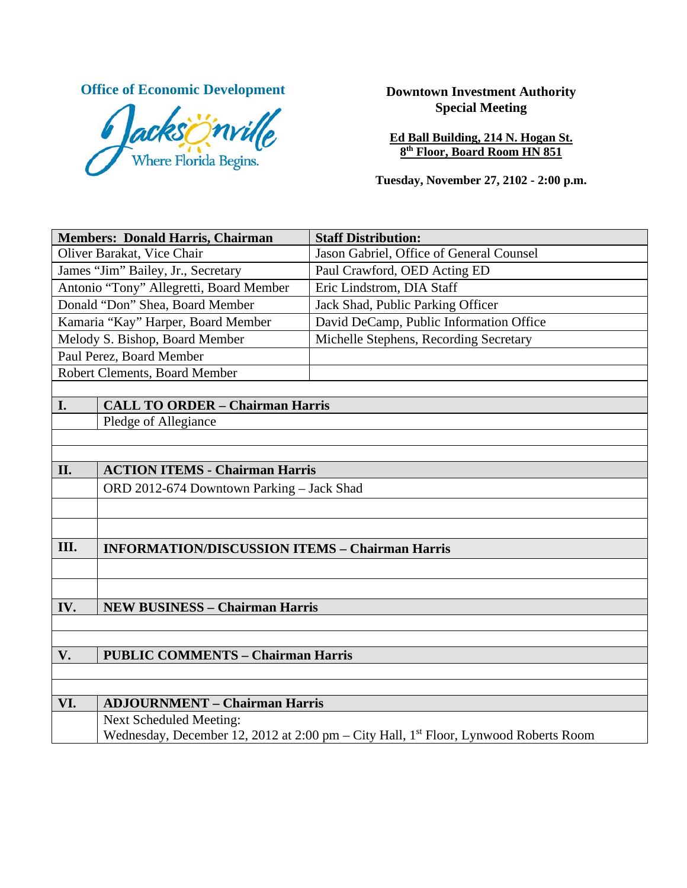# **Office of Economic Development Downtown Investment Authority**



# **Special Meeting**

**Ed Ball Building, 214 N. Hogan St. 8th Floor, Board Room HN 851**

**Tuesday, November 27, 2102 - 2:00 p.m.**

| <b>Members: Donald Harris, Chairman</b> |                                                                                                  | <b>Staff Distribution:</b>               |  |
|-----------------------------------------|--------------------------------------------------------------------------------------------------|------------------------------------------|--|
| Oliver Barakat, Vice Chair              |                                                                                                  | Jason Gabriel, Office of General Counsel |  |
| James "Jim" Bailey, Jr., Secretary      |                                                                                                  | Paul Crawford, OED Acting ED             |  |
| Antonio "Tony" Allegretti, Board Member |                                                                                                  | Eric Lindstrom, DIA Staff                |  |
| Donald "Don" Shea, Board Member         |                                                                                                  | Jack Shad, Public Parking Officer        |  |
| Kamaria "Kay" Harper, Board Member      |                                                                                                  | David DeCamp, Public Information Office  |  |
| Melody S. Bishop, Board Member          |                                                                                                  | Michelle Stephens, Recording Secretary   |  |
| Paul Perez, Board Member                |                                                                                                  |                                          |  |
| Robert Clements, Board Member           |                                                                                                  |                                          |  |
|                                         |                                                                                                  |                                          |  |
| I.                                      | <b>CALL TO ORDER - Chairman Harris</b>                                                           |                                          |  |
|                                         | Pledge of Allegiance                                                                             |                                          |  |
|                                         |                                                                                                  |                                          |  |
|                                         |                                                                                                  |                                          |  |
| II.                                     | <b>ACTION ITEMS - Chairman Harris</b>                                                            |                                          |  |
|                                         | ORD 2012-674 Downtown Parking - Jack Shad                                                        |                                          |  |
|                                         |                                                                                                  |                                          |  |
|                                         |                                                                                                  |                                          |  |
| III.                                    | <b>INFORMATION/DISCUSSION ITEMS - Chairman Harris</b>                                            |                                          |  |
|                                         |                                                                                                  |                                          |  |
|                                         |                                                                                                  |                                          |  |
| IV.                                     | <b>NEW BUSINESS - Chairman Harris</b>                                                            |                                          |  |
|                                         |                                                                                                  |                                          |  |
|                                         |                                                                                                  |                                          |  |
| V.                                      | <b>PUBLIC COMMENTS - Chairman Harris</b>                                                         |                                          |  |
|                                         |                                                                                                  |                                          |  |
|                                         |                                                                                                  |                                          |  |
| VI.                                     | <b>ADJOURNMENT - Chairman Harris</b>                                                             |                                          |  |
|                                         | <b>Next Scheduled Meeting:</b>                                                                   |                                          |  |
|                                         | Wednesday, December 12, 2012 at 2:00 pm - City Hall, 1 <sup>st</sup> Floor, Lynwood Roberts Room |                                          |  |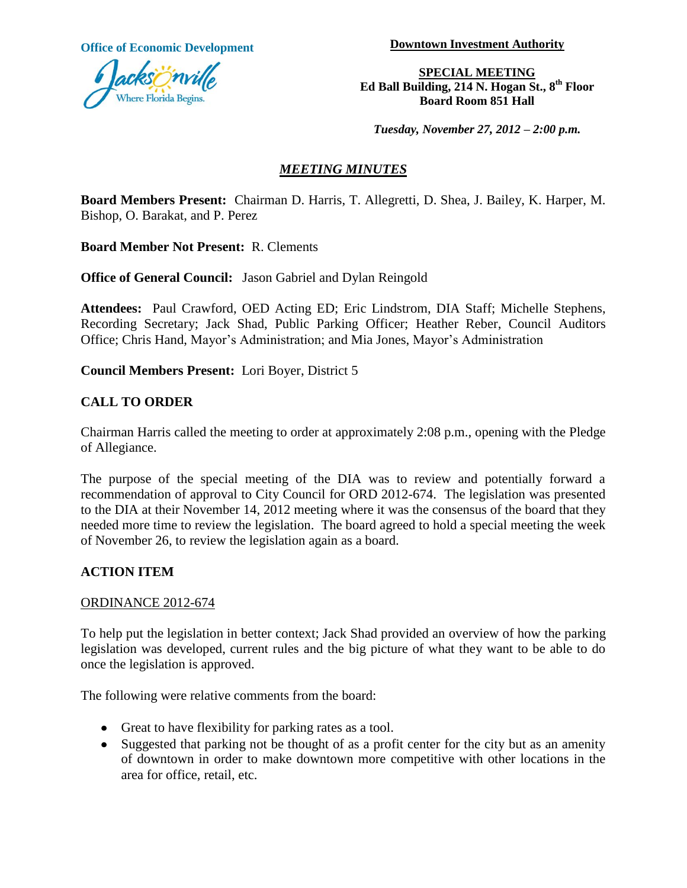

**Office of Economic Development Downtown Investment Authority** 

**SPECIAL MEETING Ed Ball Building, 214 N. Hogan St., 8th Floor Board Room 851 Hall**

*Tuesday, November 27, 2012 – 2:00 p.m.*

# *MEETING MINUTES*

**Board Members Present:** Chairman D. Harris, T. Allegretti, D. Shea, J. Bailey, K. Harper, M. Bishop, O. Barakat, and P. Perez

**Board Member Not Present:** R. Clements

**Office of General Council:** Jason Gabriel and Dylan Reingold

**Attendees:** Paul Crawford, OED Acting ED; Eric Lindstrom, DIA Staff; Michelle Stephens, Recording Secretary; Jack Shad, Public Parking Officer; Heather Reber, Council Auditors Office; Chris Hand, Mayor's Administration; and Mia Jones, Mayor's Administration

**Council Members Present:** Lori Boyer, District 5

## **CALL TO ORDER**

Chairman Harris called the meeting to order at approximately 2:08 p.m., opening with the Pledge of Allegiance.

The purpose of the special meeting of the DIA was to review and potentially forward a recommendation of approval to City Council for ORD 2012-674. The legislation was presented to the DIA at their November 14, 2012 meeting where it was the consensus of the board that they needed more time to review the legislation. The board agreed to hold a special meeting the week of November 26, to review the legislation again as a board.

## **ACTION ITEM**

#### ORDINANCE 2012-674

To help put the legislation in better context; Jack Shad provided an overview of how the parking legislation was developed, current rules and the big picture of what they want to be able to do once the legislation is approved.

The following were relative comments from the board:

- Great to have flexibility for parking rates as a tool.
- Suggested that parking not be thought of as a profit center for the city but as an amenity of downtown in order to make downtown more competitive with other locations in the area for office, retail, etc.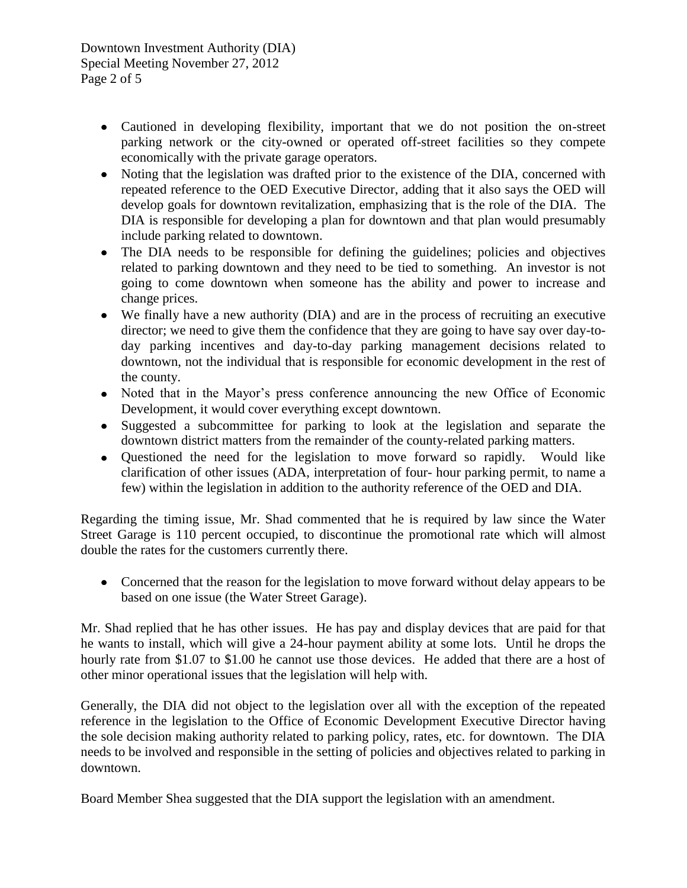Downtown Investment Authority (DIA) Special Meeting November 27, 2012 Page 2 of 5

- Cautioned in developing flexibility, important that we do not position the on-street parking network or the city-owned or operated off-street facilities so they compete economically with the private garage operators.
- Noting that the legislation was drafted prior to the existence of the DIA, concerned with repeated reference to the OED Executive Director, adding that it also says the OED will develop goals for downtown revitalization, emphasizing that is the role of the DIA. The DIA is responsible for developing a plan for downtown and that plan would presumably include parking related to downtown.
- The DIA needs to be responsible for defining the guidelines; policies and objectives related to parking downtown and they need to be tied to something. An investor is not going to come downtown when someone has the ability and power to increase and change prices.
- We finally have a new authority (DIA) and are in the process of recruiting an executive director; we need to give them the confidence that they are going to have say over day-today parking incentives and day-to-day parking management decisions related to downtown, not the individual that is responsible for economic development in the rest of the county.
- Noted that in the Mayor's press conference announcing the new Office of Economic Development, it would cover everything except downtown.
- Suggested a subcommittee for parking to look at the legislation and separate the downtown district matters from the remainder of the county-related parking matters.
- Questioned the need for the legislation to move forward so rapidly. Would like clarification of other issues (ADA, interpretation of four- hour parking permit, to name a few) within the legislation in addition to the authority reference of the OED and DIA.

Regarding the timing issue, Mr. Shad commented that he is required by law since the Water Street Garage is 110 percent occupied, to discontinue the promotional rate which will almost double the rates for the customers currently there.

Concerned that the reason for the legislation to move forward without delay appears to be based on one issue (the Water Street Garage).

Mr. Shad replied that he has other issues. He has pay and display devices that are paid for that he wants to install, which will give a 24-hour payment ability at some lots. Until he drops the hourly rate from \$1.07 to \$1.00 he cannot use those devices. He added that there are a host of other minor operational issues that the legislation will help with.

Generally, the DIA did not object to the legislation over all with the exception of the repeated reference in the legislation to the Office of Economic Development Executive Director having the sole decision making authority related to parking policy, rates, etc. for downtown. The DIA needs to be involved and responsible in the setting of policies and objectives related to parking in downtown.

Board Member Shea suggested that the DIA support the legislation with an amendment.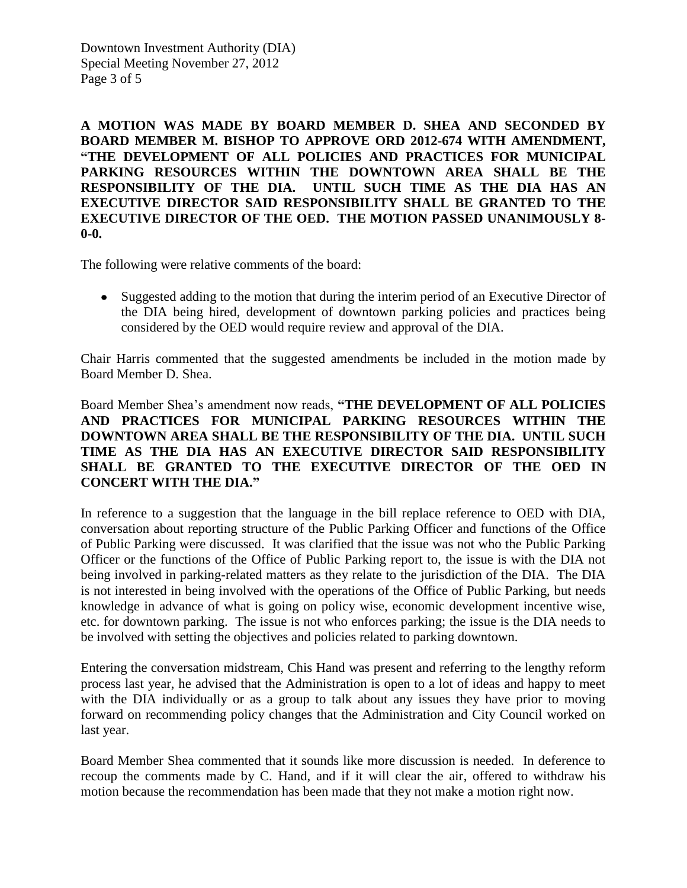Downtown Investment Authority (DIA) Special Meeting November 27, 2012 Page 3 of 5

**A MOTION WAS MADE BY BOARD MEMBER D. SHEA AND SECONDED BY BOARD MEMBER M. BISHOP TO APPROVE ORD 2012-674 WITH AMENDMENT, "THE DEVELOPMENT OF ALL POLICIES AND PRACTICES FOR MUNICIPAL PARKING RESOURCES WITHIN THE DOWNTOWN AREA SHALL BE THE RESPONSIBILITY OF THE DIA. UNTIL SUCH TIME AS THE DIA HAS AN EXECUTIVE DIRECTOR SAID RESPONSIBILITY SHALL BE GRANTED TO THE EXECUTIVE DIRECTOR OF THE OED. THE MOTION PASSED UNANIMOUSLY 8- 0-0.**

The following were relative comments of the board:

Suggested adding to the motion that during the interim period of an Executive Director of the DIA being hired, development of downtown parking policies and practices being considered by the OED would require review and approval of the DIA.

Chair Harris commented that the suggested amendments be included in the motion made by Board Member D. Shea.

Board Member Shea's amendment now reads, **"THE DEVELOPMENT OF ALL POLICIES AND PRACTICES FOR MUNICIPAL PARKING RESOURCES WITHIN THE DOWNTOWN AREA SHALL BE THE RESPONSIBILITY OF THE DIA. UNTIL SUCH TIME AS THE DIA HAS AN EXECUTIVE DIRECTOR SAID RESPONSIBILITY SHALL BE GRANTED TO THE EXECUTIVE DIRECTOR OF THE OED IN CONCERT WITH THE DIA."** 

In reference to a suggestion that the language in the bill replace reference to OED with DIA, conversation about reporting structure of the Public Parking Officer and functions of the Office of Public Parking were discussed. It was clarified that the issue was not who the Public Parking Officer or the functions of the Office of Public Parking report to, the issue is with the DIA not being involved in parking-related matters as they relate to the jurisdiction of the DIA. The DIA is not interested in being involved with the operations of the Office of Public Parking, but needs knowledge in advance of what is going on policy wise, economic development incentive wise, etc. for downtown parking. The issue is not who enforces parking; the issue is the DIA needs to be involved with setting the objectives and policies related to parking downtown.

Entering the conversation midstream, Chis Hand was present and referring to the lengthy reform process last year, he advised that the Administration is open to a lot of ideas and happy to meet with the DIA individually or as a group to talk about any issues they have prior to moving forward on recommending policy changes that the Administration and City Council worked on last year.

Board Member Shea commented that it sounds like more discussion is needed. In deference to recoup the comments made by C. Hand, and if it will clear the air, offered to withdraw his motion because the recommendation has been made that they not make a motion right now.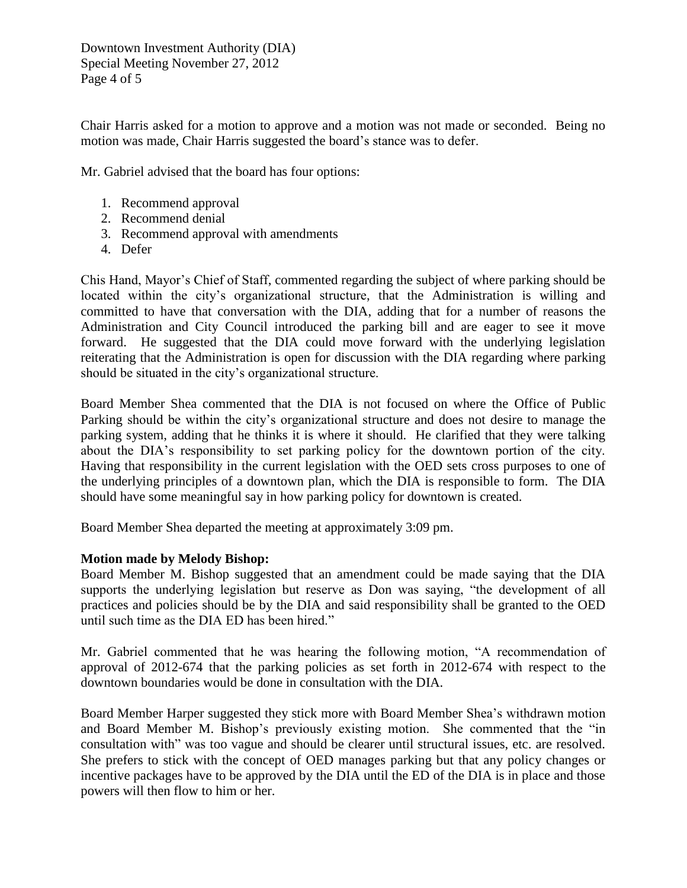Downtown Investment Authority (DIA) Special Meeting November 27, 2012 Page 4 of 5

Chair Harris asked for a motion to approve and a motion was not made or seconded. Being no motion was made, Chair Harris suggested the board's stance was to defer.

Mr. Gabriel advised that the board has four options:

- 1. Recommend approval
- 2. Recommend denial
- 3. Recommend approval with amendments
- 4. Defer

Chis Hand, Mayor's Chief of Staff, commented regarding the subject of where parking should be located within the city's organizational structure, that the Administration is willing and committed to have that conversation with the DIA, adding that for a number of reasons the Administration and City Council introduced the parking bill and are eager to see it move forward. He suggested that the DIA could move forward with the underlying legislation reiterating that the Administration is open for discussion with the DIA regarding where parking should be situated in the city's organizational structure.

Board Member Shea commented that the DIA is not focused on where the Office of Public Parking should be within the city's organizational structure and does not desire to manage the parking system, adding that he thinks it is where it should. He clarified that they were talking about the DIA's responsibility to set parking policy for the downtown portion of the city. Having that responsibility in the current legislation with the OED sets cross purposes to one of the underlying principles of a downtown plan, which the DIA is responsible to form. The DIA should have some meaningful say in how parking policy for downtown is created.

Board Member Shea departed the meeting at approximately 3:09 pm.

#### **Motion made by Melody Bishop:**

Board Member M. Bishop suggested that an amendment could be made saying that the DIA supports the underlying legislation but reserve as Don was saying, "the development of all practices and policies should be by the DIA and said responsibility shall be granted to the OED until such time as the DIA ED has been hired."

Mr. Gabriel commented that he was hearing the following motion, "A recommendation of approval of 2012-674 that the parking policies as set forth in 2012-674 with respect to the downtown boundaries would be done in consultation with the DIA.

Board Member Harper suggested they stick more with Board Member Shea's withdrawn motion and Board Member M. Bishop's previously existing motion. She commented that the "in consultation with" was too vague and should be clearer until structural issues, etc. are resolved. She prefers to stick with the concept of OED manages parking but that any policy changes or incentive packages have to be approved by the DIA until the ED of the DIA is in place and those powers will then flow to him or her.